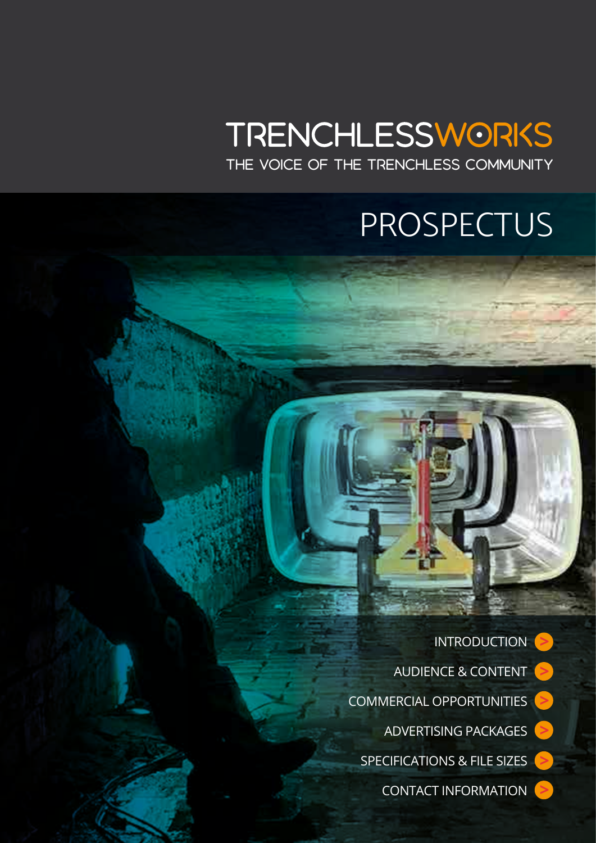## **TRENCHLESSWORKS**

THE VOICE OF THE TRENCHLESS COMMUNITY

## PROSPECTUS

**[>](#page-6-0) [>](#page-7-0) [>](#page-2-0)** INTRODUCTION AUDIENCE & CONTENT COMMERCIAL OPPORTUNITIES ADVERTISING PACKAGES SPECIFICATIONS & FILE SIZES CONTACT INFORMATION **[>](#page-3-0) [>](#page-5-0) [>](#page-1-0)**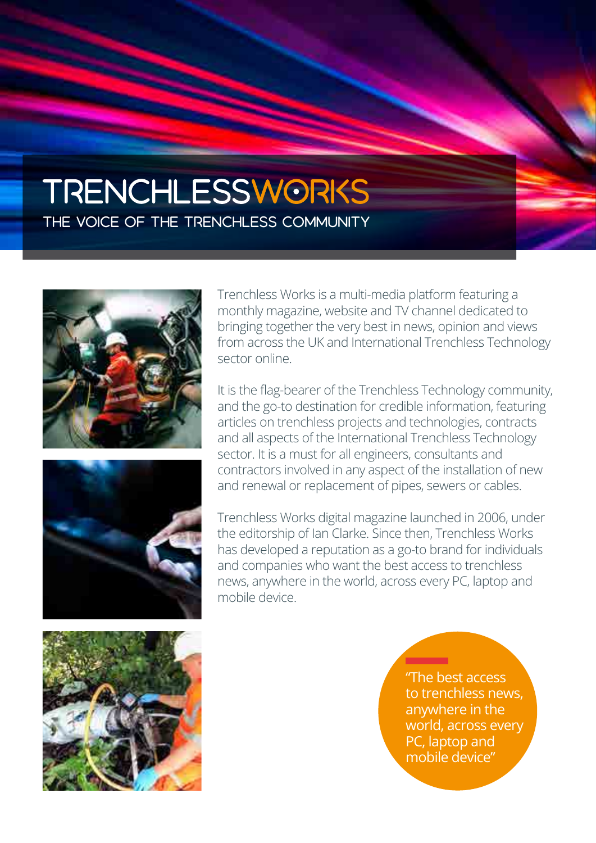#### <span id="page-1-0"></span>**TRENCHLESSWORKS** THE VOICE OF THE TRENCHLESS COMMUNITY





Trenchless Works is a multi-media platform featuring a monthly magazine, website and TV channel dedicated to bringing together the very best in news, opinion and views from across the UK and International Trenchless Technology sector online.

It is the flag-bearer of the Trenchless Technology community, and the go-to destination for credible information, featuring articles on trenchless projects and technologies, contracts and all aspects of the International Trenchless Technology sector. It is a must for all engineers, consultants and contractors involved in any aspect of the installation of new and renewal or replacement of pipes, sewers or cables.

Trenchless Works digital magazine launched in 2006, under the editorship of Ian Clarke. Since then, Trenchless Works has developed a reputation as a go-to brand for individuals and companies who want the best access to trenchless news, anywhere in the world, across every PC, laptop and mobile device.



"The best access to trenchless news, anywhere in the world, across every PC, laptop and mobile device"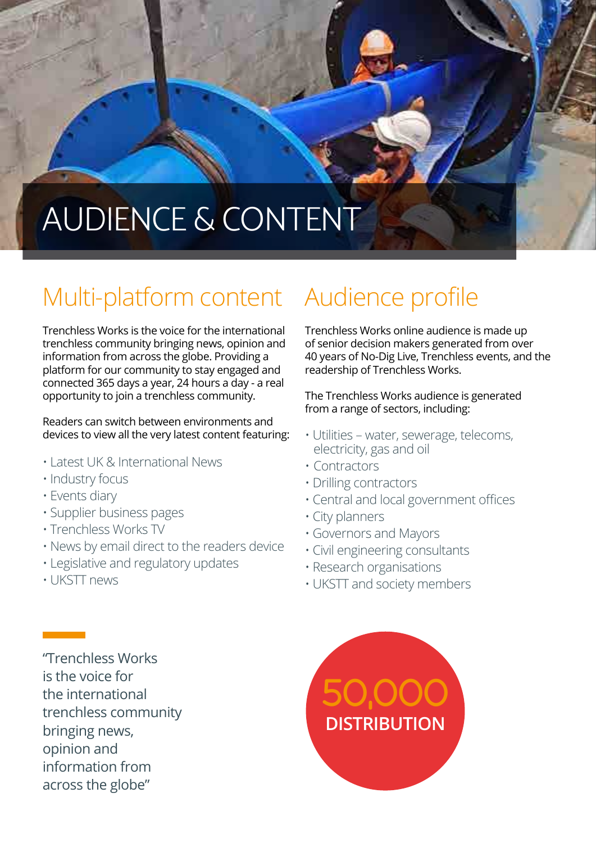## <span id="page-2-0"></span>AUDIENCE & CONTENT

### Multi-platform content

Trenchless Works is the voice for the international trenchless community bringing news, opinion and information from across the globe. Providing a platform for our community to stay engaged and connected 365 days a year, 24 hours a day - a real opportunity to join a trenchless community.

Readers can switch between environments and devices to view all the very latest content featuring:

- Latest UK & International News
- Industry focus
- Events diary
- Supplier business pages
- Trenchless Works TV
- News by email direct to the readers device
- Legislative and regulatory updates
- UKSTT news

#### Audience profile

Trenchless Works online audience is made up of senior decision makers generated from over 40 years of No-Dig Live, Trenchless events, and the readership of Trenchless Works.

The Trenchless Works audience is generated from a range of sectors, including:

- Utilities water, sewerage, telecoms, electricity, gas and oil
- Contractors
- Drilling contractors
- Central and local government offices
- City planners
- Governors and Mayors
- Civil engineering consultants
- Research organisations
- UKSTT and society members

"Trenchless Works is the voice for the international trenchless community bringing news, opinion and information from across the globe"

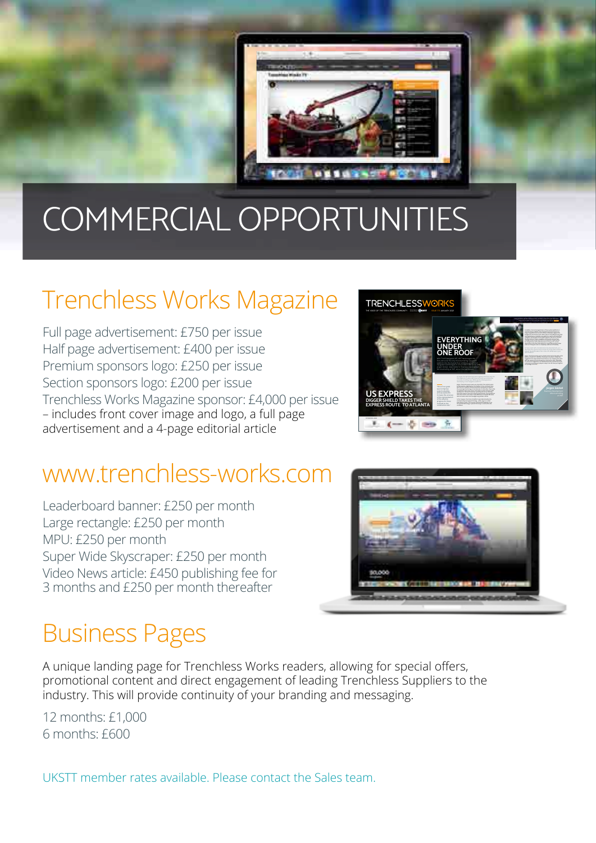<span id="page-3-0"></span>

## COMMERCIAL OPPORTUNITIES

#### Trenchless Works Magazine

Full page advertisement: £750 per issue Half page advertisement: £400 per issue Premium sponsors logo: £250 per issue Section sponsors logo: £200 per issue Trenchless Works Magazine sponsor: £4,000 per issue – includes front cover image and logo, a full page advertisement and a 4-page editorial article

#### www.trenchless-works.com

Leaderboard banner: £250 per month Large rectangle: £250 per month MPU: £250 per month Super Wide Skyscraper: £250 per month Video News article: £450 publishing fee for 3 months and £250 per month thereafter



Jürgen: Technical reasons were very important. Two systems were able to handle curves and managed long-distance drives. corresponding surveying technology – either a gyro or a laser total station system. This severely restricted the flexibility to use the optimal technology in practice factoring in construction site conditions.

for straight drives with small diameters to the gyro for curved Jürgen: The first premise was to at least retain the functionality of the with the systems in the real world on construction sites. Ultimately, customers in recent years played a major role. We have put together

PIPE JACKING, MICROTUNNELLING, TUNNELLING & AUGER BORING **10** For general information on Pipe Jacking, Microtunnelling & August Monrie, Click here

EVERYTHING<br>UNDER<br>ONE ROOF navigation technologies in one product. We spoke with Jürgen Göckel, responsible for Business Development Microtunnelling at VMT, about the new system.

THE VOICE OF THE TRENCHLESS COMMUNITY **WAGAZINE ISSUE TO A MELIARY 2021** 

 $-5 -$ 

**TRENCHLESSW** 

US EXPRESS DIGGER SHIELD TAKES THE EXPRESS ROUTE TO ATLANTA

#### Business Pages

A unique landing page for Trenchless Works readers, allowing for special offers, promotional content and direct engagement of leading Trenchless Suppliers to the industry. This will provide continuity of your branding and messaging.

12 months: £1,000 6 months: £600

UKSTT member rates available. Please contact the Sales team.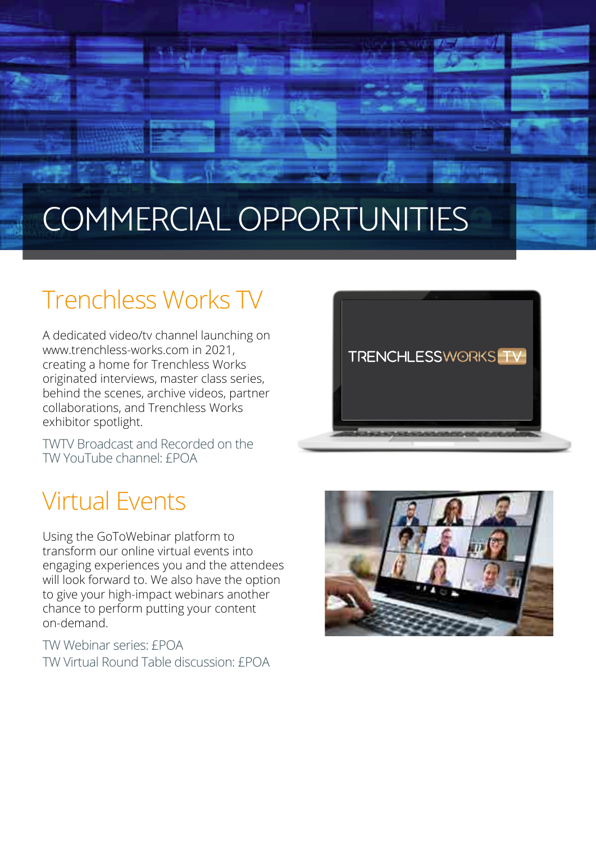## COMMERCIAL OPPORTUNITIES

**LEXUS** 

#### Trenchless Works TV

A dedicated video/tv channel launching on www.trenchless-works.com in 2021, creating a home for Trenchless Works originated interviews, master class series, behind the scenes, archive videos, partner collaborations, and Trenchless Works exhibitor spotlight.

TWTV Broadcast and Recorded on the TW YouTube channel: £POA

# **TRENCHLESSWORKS** TV

#### Virtual Events

Using the GoToWebinar platform to transform our online virtual events into engaging experiences you and the attendees will look forward to. We also have the option to give your high-impact webinars another chance to perform putting your content on-demand.

TW Webinar series: £POA TW Virtual Round Table discussion: £POA

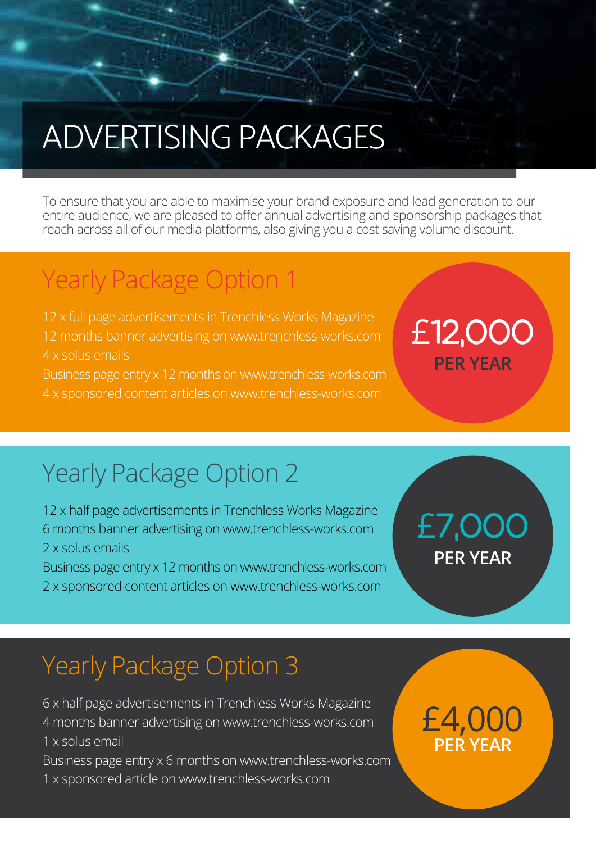## <span id="page-5-0"></span>ADVERTISING PACKAGES

To ensure that you are able to maximise your brand exposure and lead generation to our entire audience, we are pleased to offer annual advertising and sponsorship packages that reach across all of our media platforms, also giving you a cost saving volume discount.

#### Yearly Package Option 1

12 x full page advertisements in Trenchless Works Magazine 12 months banner advertising on www.trenchless-works.com 4 x solus emails

Business page entry x 12 months on www.trenchless-works.com 4 x sponsored content articles on www.trenchless-works.com

#### Yearly Package Option 2

12 x half page advertisements in Trenchless Works Magazine 6 months banner advertising on www.trenchless-works.com 2 x solus emails

Business page entry x 12 months on www.trenchless-works.com 2 x sponsored content articles on www.trenchless-works.com

#### **PER YEAR**  £7,000

**PER YEAR**

£12,000

#### Yearly Package Option 3

6 x half page advertisements in Trenchless Works Magazine 4 months banner advertising on www.trenchless-works.com 1 x solus email

Business page entry x 6 months on www.trenchless-works.com 1 x sponsored article on www.trenchless-works.com

#### **PER YEAR** £4,000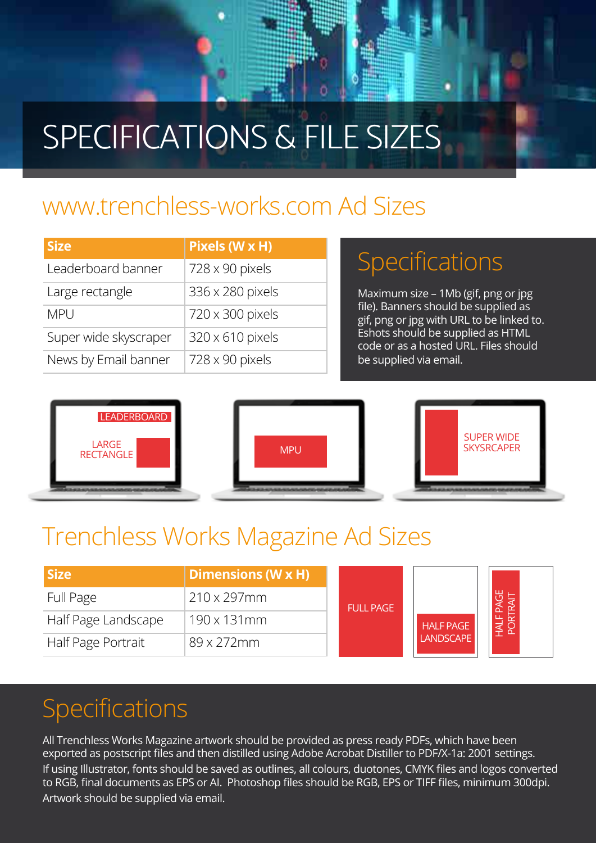## <span id="page-6-0"></span>SPECIFICATIONS & FILE SIZES

#### www.trenchless-works.com Ad Sizes

| <b>Size</b>           | Pixels (W x H)         |
|-----------------------|------------------------|
| Leaderboard banner    | $728 \times 90$ pixels |
| Large rectangle       | 336 x 280 pixels       |
| <b>MPU</b>            | 720 x 300 pixels       |
| Super wide skyscraper | 320 x 610 pixels       |
| News by Email banner  | $728 \times 90$ pixels |

#### Specifications

Maximum size – 1Mb (gif, png or jpg file). Banners should be supplied as gif, png or jpg with URL to be linked to. Eshots should be supplied as HTML code or as a hosted URL. Files should be supplied via email.



#### Trenchless Works Magazine Ad Sizes

| <b>Size</b>         | Dimensions (W x H)  | <b>FULL PAGE</b> | <b>HALF PAGE</b><br><b>LANDSCAPE</b> |  |
|---------------------|---------------------|------------------|--------------------------------------|--|
| Full Page           | $210 \times 297$ mm |                  |                                      |  |
| Half Page Landscape | $190 \times 131$ mm |                  |                                      |  |
| Half Page Portrait  | $89 \times 272$ mm  |                  |                                      |  |

#### Specifications

All Trenchless Works Magazine artwork should be provided as press ready PDFs, which have been exported as postscript files and then distilled using Adobe Acrobat Distiller to PDF/X-1a: 2001 settings. If using Illustrator, fonts should be saved as outlines, all colours, duotones, CMYK files and logos converted to RGB, final documents as EPS or AI. Photoshop files should be RGB, EPS or TIFF files, minimum 300dpi. Artwork should be supplied via email.